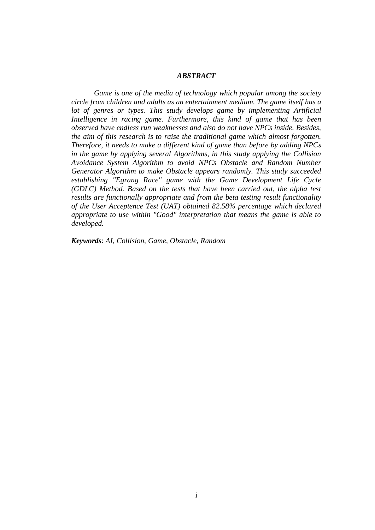## *ABSTRACT*

*Game is one of the media of technology which popular among the society circle from children and adults as an entertainment medium. The game itself has a lot of genres or types. This study develops game by implementing Artificial Intelligence in racing game. Furthermore, this kind of game that has been observed have endless run weaknesses and also do not have NPCs inside. Besides, the aim of this research is to raise the traditional game which almost forgotten. Therefore, it needs to make a different kind of game than before by adding NPCs in the game by applying several Algorithms, in this study applying the Collision Avoidance System Algorithm to avoid NPCs Obstacle and Random Number Generator Algorithm to make Obstacle appears randomly. This study succeeded establishing "Egrang Race" game with the Game Development Life Cycle (GDLC) Method. Based on the tests that have been carried out, the alpha test results are functionally appropriate and from the beta testing result functionality of the User Acceptence Test (UAT) obtained 82.58% percentage which declared appropriate to use within "Good" interpretation that means the game is able to developed.*

*Keywords*: *AI, Collision, Game, Obstacle, Random*